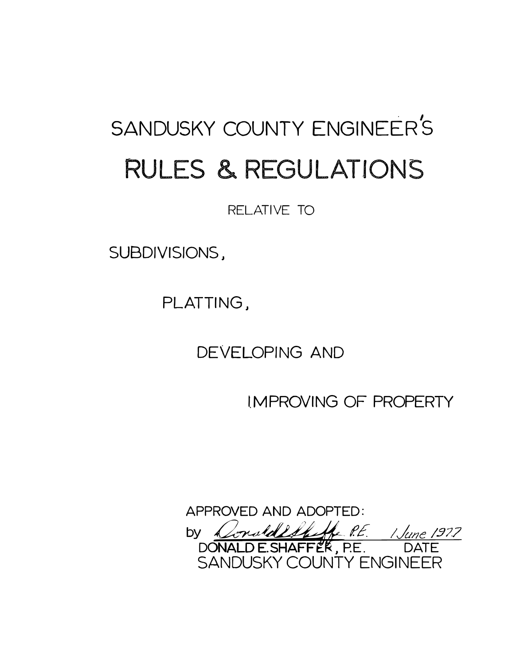# SANDUSKY COUNTY ENGINEER'S RULES & REGULATIONS

RELATIVE TO

SUBDIVISIONS,

PLATTING,

DEVELOPING AND

1.MPROVING OF PROPERTY

APPROVED AND ADOPTED: by <u>Constallelinge P.E. 1 June 1977</u><br>DONALD E.SHAFFER, P.E. DATE SANDUSKY COUNTY ENGINEER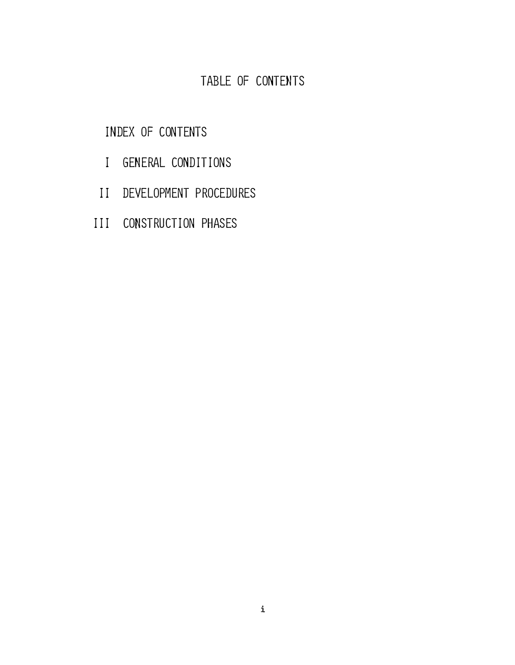# TABLE OF CONTENTS

# INDEX OF CONTENTS

- I GENERAL CONDITIONS
- II DEVELOPMENT PROCEDURES
- III CONSTRUCTION PHASES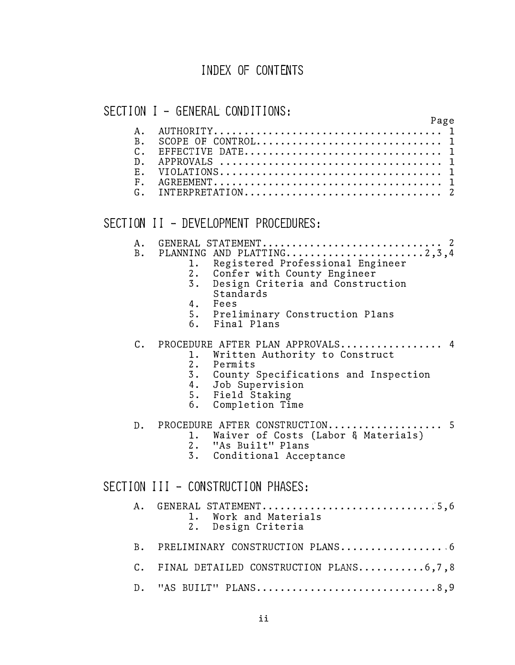## INDEX OF CONTENTS

## SECTION I - GENERAL CONDITIONS:

#### Page A. AUTHORITY. . . . . . . . . . . . . . . . . . . . . . . . . . . . . . . . . . . . . . 1 B. SCOPE OF CONTROL. . . . . . . . . . . . . . . . . . . . . . . . . . . . . . . 1 C. EFFECTIVE DATE. . . . . . . . . . . . . . . . . . . . . . . . . . . . . . . . . 1 D. APPROVALS . . . . . . . . . . . . . . . . . . . . . . . . . . . . . . . . . . . . . 1 E. VIOLATIONS ..................................... 1 F . AGREEMENT . . . . . . . . . . . . . . . . . . . . . . . . . . . . . . . . . . . . . . 1 G. INTERPRETATION ................................. 2

## SECTION II - DEVELOPMENT PROCEDURES:

| A.             | GENERAL STATEMENT 2                                                                                                                                                                            |
|----------------|------------------------------------------------------------------------------------------------------------------------------------------------------------------------------------------------|
| <b>B</b> .     | 1. Registered Professional Engineer<br>2. Confer with County Engineer<br>Design Criteria and Construction<br>3.<br>Standards<br>4. Fees<br>5. Preliminary Construction Plans<br>6. Final Plans |
| $\mathsf{C}$ . | PROCEDURE AFTER PLAN APPROVALS 4<br>1. Written Authority to Construct<br>2. Permits<br>3. County Specifications and Inspection<br>4. Job Supervision<br>5. Field Staking<br>6. Completion Time |
|                | D. PROCEDURE AFTER CONSTRUCTION<br>. 5<br>1. Waiver of Costs (Labor & Materials)<br>2. "As Built" Plans<br>3. Conditional Acceptance                                                           |
|                | SECTION III - CONSTRUCTION PHASES:                                                                                                                                                             |
| Α.             | GENERAL STATEMENT5,6<br>1. Work and Materials<br>2. Design Criteria                                                                                                                            |
| B.             |                                                                                                                                                                                                |
|                | C. FINAL DETAILED CONSTRUCTION PLANS6,7,8                                                                                                                                                      |
|                | D. "AS BUILT" PLANS8,9                                                                                                                                                                         |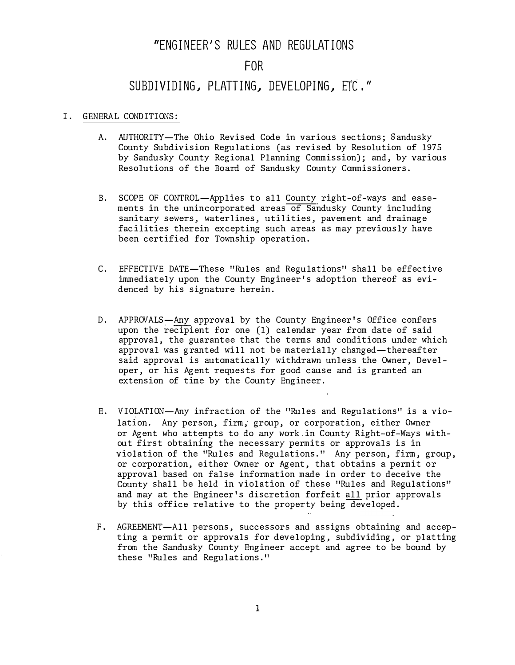# "ENGINEER'S RULES AND REGULATIONS

## FOR

### SUBDIVIDING, PLATTING, DEVELOPING, ETC. *11*

#### I. GENERAL CONDITIONS:

- A. AUTHORITY-The Ohio Revised Code in various sections; Sandusky County Subdivision Regulations (as revised by Resolution of 1975 by Sandusky County Regional Planning Commission); and, by various Resolutions of the Board of Sandusky County Commissioners.
- B. SCOPE OF CONTROL-Applies to all County right-of-ways and easements in the unincorporated areas of Sandusky County including sanitary sewers, waterlines, utilities, pavement and drainage facilities therein excepting such areas as may previously have been certified for Township operation.
- C. EFFECTIVE DATE-These "Rules and Regulations" shall be effective immediately upon the County Engineer's adoption thereof as evidenced by his signature herein.
- D. APPROVALS-Any approval by the County Engineer's Office confers upon the recipient for one (1) calendar year from date of said approval, the guarantee that the terms and conditions under which approval was granted will not be materially changed-thereafter said approval is automatically withdrawn unless the Owner, Developer, or his Agent requests for good cause and is granted an extension of time by the County Engineer.
- E. VIOLATION-Any infraction of the "Rules and Regulations" is a violation. Any person, firm, group, or corporation, either Owner or Agent who attempts to do any work.in County Right-of-Ways without first obtaining the necessary permits or approvals is in violation of the **<sup>i</sup>** <sup>1</sup>Rules and Regulations." Any person, firm, group, or corporation, either Owner or Agent, that obtains a permit or approval based on false information made in order to deceive the County shall be held in violation of these "Rules and Regulations" and may at the Engineer's discretion forfeit all prior approvals by this office relative to the property being developed.
- F. AGREEMENT-All persons, successors and assigns obtaining and accepting a permit or approvals for developing, subdividing, or platting from the Sandusky County Engineer accept and agree to be bound by these "Rules and Regulations."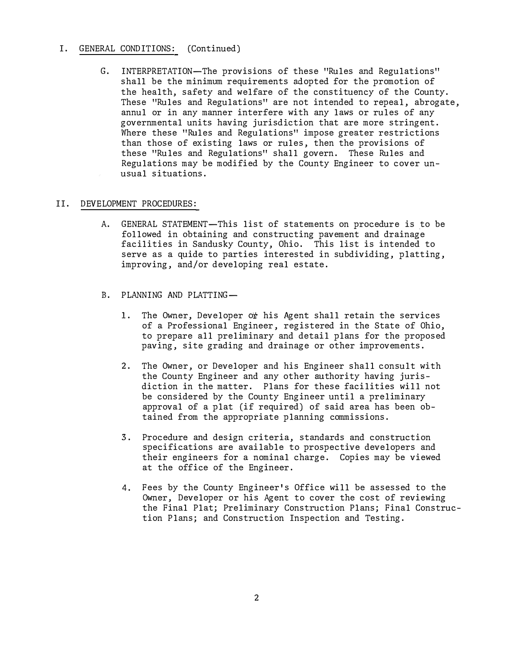#### I. GENERAL CONDITIONS: (Continued)

G. INTERPRETATION-The provisions of these "Rules and Regulations" shall be the minimum requirements adopted for the promotion of the health, safety and welfare of the constituency of the County. These "Rules and Regulations" are not intended to repeal, abrogate, annul or in any manner interfere with any laws or rules of any governmental units having jurisdiction that are more stringent. Where these "Rules and Regulations" impose greater restrictions than those of existing laws or rules, then the provisions of these "Rules and Regulations" shall govern. These Rules and Regulations may be modified by the County Engineer to cover unusual situations.

#### II. DEVELOPMENT PROCEDURES:

- A. GENERAL STATEMENT-This list of statements on procedure is to be followed in obtaining and constructing pavement and drainage facilities in Sandusky County, Ohio. This list is intended to serve as a quide to parties interested in subdividing, platting, improving, and/or developing real estate.
- B. PLANNING AND PLATTING-
	- 1. The Owner, Developer or his Agent shall retain the services of a Professional Engineer, registered in the State of Ohio, to prepare all preliminary and detail plans for the proposed paving, site grading and drainage or other improvements.
	- 2. The Owner, or Developer and his Engineer shall consult with the County Engineer and any other authority having jurisdiction in the matter. Plans for these facilities will not be considered by the County Engineer until a preliminary approval of a plat (if required) of said area has been obtained from the appropriate planning commissions.
	- 3. Procedure and design criteria, standards and construction specifications are available to prospective developers and their engineers for a nominal charge. Copies may be viewed at the office of the Engineer.
	- 4. Fees by the County Engineer's Office will be assessed to the Owner, Developer or his Agent to cover the cost of reviewing the Final Plat; Preliminary Construction Plans; Final Construction Plans; and Construction Inspection and Testing.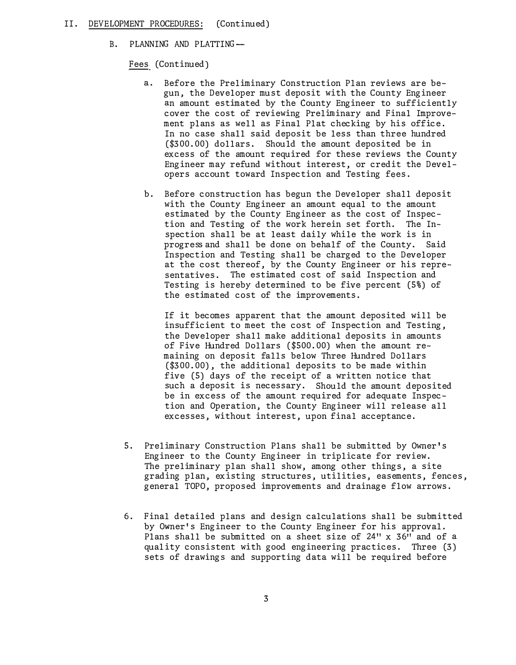#### II. DEVELOPMENT PROCEDURES: (Continued)

B. PLANNING AND PLATTING-

Fees (Continued)

- Before the Preliminary Construction Plan reviews are begun, the Developer must deposit with the County Engineer an amount estimated by the County Engineer to sufficiently cover the cost of reviewing Preliminary and Final Improvement plans as well as Final Plat checking by his office. In no case shall said deposit be less than three hundred (\$300.00) dollars. Should the amount deposited be in excess of the amount required for these reviews the County Engineer may refund without interest, or credit the Developers account toward Inspection and Testing fees.
- b. Before construction has begun the Developer shall deposit with the County Engineer an amount equal to the amount estimated by the County Engineer as the cost of Inspection and Testing of the work herein set forth. The Inspection shall be at least daily while the work is in progress and shall be done on behalf of the County. Said Inspection and Testing shall be charged to the Developer at the cost thereof, by the County Engineer or his representatives. The estimated cost of said Inspection and Testing is hereby determined to be five percent (5%) of the estimated cost of the improvements.

If it becomes apparent that the amount deposited will be insufficient to meet the cost of Inspection and Testing, the Developer shall make additional deposits in amounts of Five Hundred Dollars (\$500.00) when the amount remaining on deposit falls below Three Hundred Dollars (\$300.00), the additional deposits to be made within five (5) days of the receipt of a written notice that such a deposit is necessary. Should the amount deposited be in excess of the amount required for adequate Inspection and Operation, the County Engineer will release all excesses, without interest, upon final acceptance.

- 5. Preliminary Construction Plans shall be submitted by Owner's Engineer to the County Engineer in triplicate for review. The preliminary plan shall show, among other things, a site grading plan, existing structures, utilities, easements, fences, general TOPO, proposed improvements and drainage flow arrows.
- 6. Final detailed plans and design calculations shall be submitted by Owner's Engineer to the County Engineer for his approval. Plans shall be submitted on a sheet size of 24" x 36" and of a quality consistent with good engineering practices. Three (3) sets of drawings and supporting data will be required before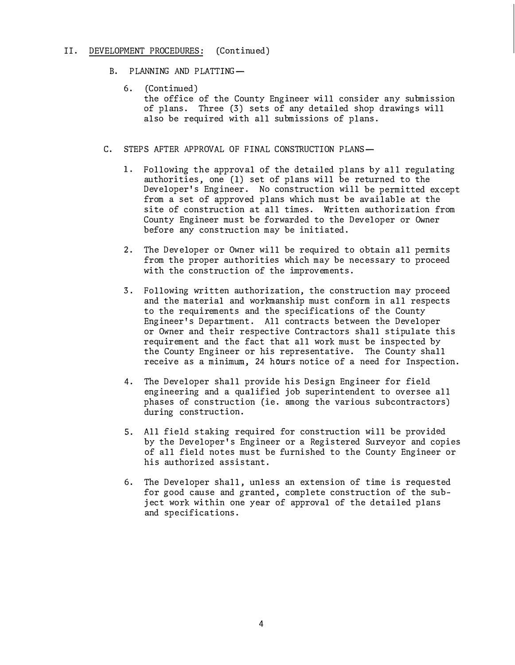#### II. DEVELOPMENT PROCEDURES: (Continued)

- B. PLANNING AND PLATTING-
	- 6. (Continued) the office of the County Engineer will consider any submission of plans. Three (3) sets of any detailed shop drawings will also be required with all submissions of plans.
- C. STEPS AFTER APPROVAL OF FINAL CONSTRUCTION PLANS-
	- 1. Following the approval of the detailed plans by all regulating authorities, one (1) set of plans will be returned to the Developer's Engineer. No construction will be permitted except from a set of approved plans which must be available at the site of construction at all times. Written authorization from County Engineer must be forwarded to the Developer or Owner before any construction may be initiated.
	- 2. The Developer or Owner will be required to obtain all permits from the proper authorities which may be necessary to proceed with the construction of the improvements.
	- 3. Following written authorization, the construction may proceed and the material and workmanship must conform in all respects to the requirements and the specifications of the County Engineer's Department. All contracts between the Developer or Owner and their respective Contractors shall stipulate this requirement and the fact that all work must be inspected by the County Engineer or his representative. The County shall receive as a minimum, 24 hours notice of a need for Inspection.
	- 4. The Developer shall provide his Design Engineer for field engineering and a qualified job superintendent to oversee all phases of construction (ie. among the various subcontractors) during construction.
	- 5. All field staking required for construction will be provided by the Developer's Engineer or a Registered Surveyor and copies of all field notes must be furnished to the County Engineer or his authorized assistant.
	- 6. The Developer shall, unless an extension of time is requested for good cause and granted, complete construction of the subject work within one year of approval of the detailed plans and specifications.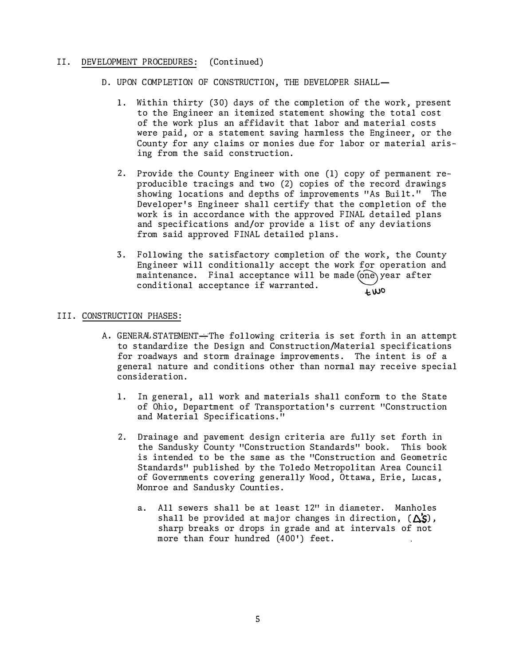#### II. DEVELOPMENT PROCEDURES: (Continued)

- D. UPON COMPLETION OF CONSTRUCTION, THE DEVELOPER SHALL-
	- 1. Within thirty (30) days of the completion of the work, present to the Engineer an itemized statement showing the total cost of the work plus an affidavit that labor and material costs were paid, or a statement saving harmless the Engineer, or the County for any claims or monies due for labor or material arising from the said construction.
	- 2. Provide the County Engineer with one (1) copy of permanent reproducible tracings and two (2) copies of the record drawings showing locations and depths of improvements "As Built." The Developer's Engineer shall certify that the completion of the work is in accordance with the approved FINAL detailed plans and specifications and/or provide a list of any deviations from said approved FINAL detailed plans.
	- 3. Following the satisfactory completion of the work, the County Engineer will conditionally accept the work for operation and maintenance. Final acceptance will be made (one) year after conditional acceptance if warranted. **t. \}JO**

#### III. CONSTRUCTION PHASES:

- A. GENERAL STATEMENT-The following criteria is set forth in an attempt to standardize the Design and Construction/Material specifications for roadways and storm drainage improvements. The intent is of a general nature and conditions other than normal may receive special consideration.
	- 1. In general, all work and materials shall conform to the State of Ohio, Department of Transportation's current "Construction and Material Specifications."
	- 2. Drainage and pavement design criteria are fully set forth in the Sandusky County "Construction Standards" book. This book is intended to be the same as the "Construction and Geometric Standards" published by the Toledo Metropolitan Area Council of Governments covering generally Wood, Ottawa, Erie, Lucas, Monroe and Sandusky Counties.
		- a. All sewers shall be at least 12" in diameter. Manholes shall be provided at major changes in direction,  $(\Delta S)$ , sharp breaks or drops in grade and at intervals of not more than four hundred (400') feet.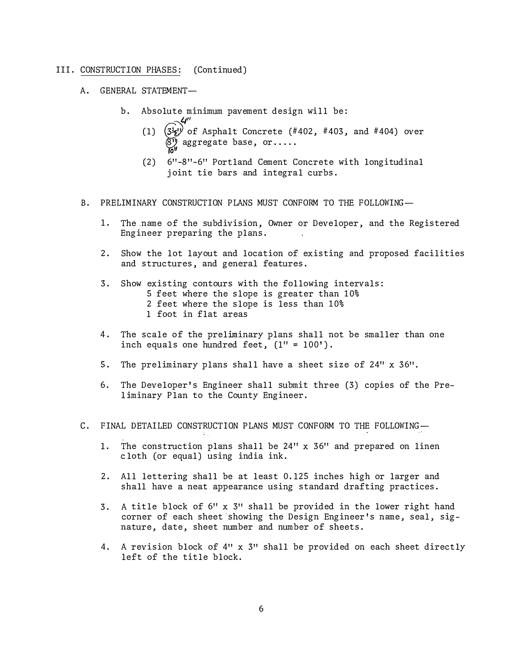- A. GENERAL STATEMENT
	- b. Absolute minimum pavement design will be:
		- (1)  $\begin{pmatrix} 34'' \ 34' \end{pmatrix}$  of Asphalt Concrete (#402, #403, and #404) over  $\begin{pmatrix} 8' \end{pmatrix}$  aggregate base, or..... **B**<sup>''</sup> aggregate base, or.....
		- (2) 6" -8 "-6" Portland Cement Concrete with longitudinal joint tie bars and integral curbs.
- B. PRELIMINARY CONSTRUCTION PLANS MUST CONFORM TO THE FOLLOWING-
	- 1. The .name of the subdivision, Owner or Developer, and the Registered Engineer preparing the plans.
	- 2. Show the lot layout and location of existing and proposed facilities and structures, and general features.
	- 3. Show existing contours with the following intervals: 5 feet where the slope is greater than 10% 2 feet where the slope is less than 10%
		- 1 foot in flat areas
	- 4. The scale of the preliminary plans shall not be smaller than one inch equals one hundred feet,  $(1'' = 100')$ .
	- 5. The preliminary plans shall have a sheet size of 24" x 36".
	- 6. The Developer's Engineer shall submit three (3) copies of the Preliminary Plan to the County Engineer.
- C. FINAL DETAILED CONSTRUCTION PLANS MUST CONFORM TO THE FOLLOWING-
	- 1. The construction plans shall be 24**<sup>11</sup>**x 36" and prepared on linen cloth (or equal) using india ink.
	- 2. All lettering shall be at least 0.125 inches high or larger and shall have a neat appearance using standard drafting practices.
	- 3. A title block of 6" x 3**<sup>11</sup>**shall be provided in the lower right hand corner of each sheet showing the Design Engineer's name, seal, signature, date, sheet number and number of sheets.
	- 4. A revision block of 4" x 3" shall be provided on each sheet directly left of the title block.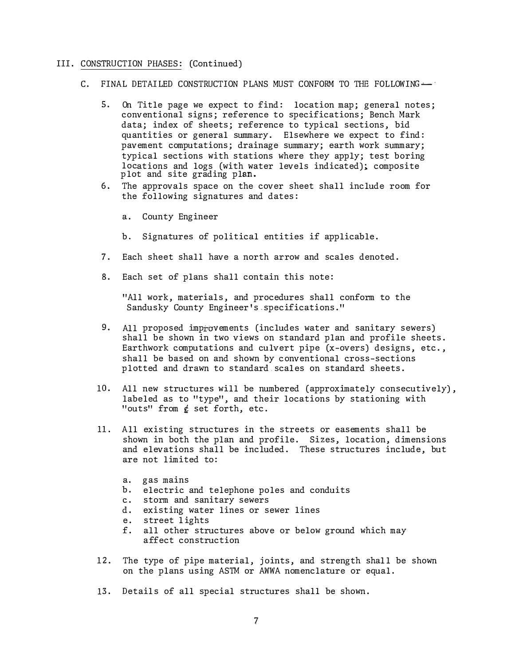- C. FINAL DETAILED CONSTRUCTION PLANS MUST CONFORM TO THE FOLLOWING-
	- 5. On Title page we expect to find: location map; general notes; conventional signs; reference to specifications; Bench Mark data; index of sheets; reference to typical sections, bid quantities or general summary. Elsewhere we expect to find: pavement computations; drainage summary; earth work summary; typical sections with stations where they apply; test boring locations and logs (with water levels indicated); composite plot and site grading plan.
	- 6. The approvals space on the cover sheet shall include room for the following signatures and dates:
		- a. County Engineer
		- b. Signatures of political entities if applicable.
	- 7. Each sheet shall have a north arrow and scales denoted.
	- 8. Each set of plans shall contain this note:

"All work, materials, and procedures shall conform to the Sandusky County Engineer's . specifications."

- 9. All proposed improvements (includes water and sanitary sewers) shall be shown in two views on standard plan and profile sheets. Earthwork computations and culvert pipe (x-overs) designs, etc., shall be based on and shown by conventional cross-sections plotted and drawn to standard.scales on standard sheets.
- 10. All new structures will be numbered (approximately consecutively), labeled as to "type", and their locations by stationing with "outs" from  $\xi$  set forth, etc.
- 11. All existing structures in the streets or easements shall be shown in both the plan and profile. Sizes, location, dimensions and elevations shall be included. These structures include, but are not limited to:
	- a. gas mains
	- b. electric and telephone poles and conduits
	- c. storm and sanitary sewers
	- d. existing water lines or sewer lines
	- e. street lights
	- f. all other structures above or below ground which may affect construction
- 12. The type of pipe material, joints, and strength shall be shown on the plans using ASTM or AWWA nomenclature or equal.
- 13. Details of all special structures shall be shown.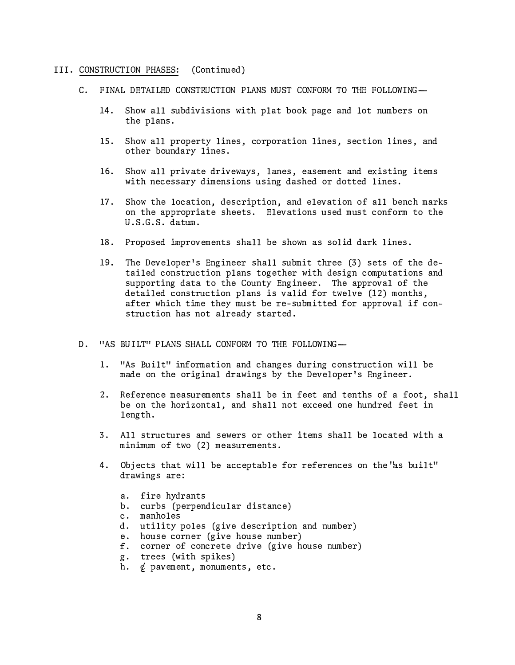- C. FINAL DETAILED CONSTRUCTION PLANS MUST CONFORM TO THE FOLLOWING-
	- 14. Show all subdivisions with plat book page and lot numbers on the plans.
	- 15. Show all property lines, corporation lines, section lines, and other boundary lines.
	- 16. Show all private driveways, lanes, easement and existing items with necessary dimensions using dashed or dotted lines.
	- 17. Show the location, description, and elevation of all bench marks on the appropriate sheets. Elevations used must conform to the U.S.G.S. datum.
	- 18. Proposed improvements shall be shown as solid dark lines.
	- 19. The Developer's Engineer shall submit three (3) sets of the detailed construction plans together with design computations and supporting data to the County Engineer. The approval of the detailed construction plans is valid for twelve (12) months, after which time they must be re-submitted for approval if construction has not already started.
- D. "AS BUILT" PLANS SHALL CONFORM TO THE FOLLOWING-
	- 1. "As Built" information and changes during construction will be made on the original drawings by the Developer's Engineer.
	- 2. Reference measurements shall be in feet and tenths of a foot, shall be on the horizontal, and shall not exceed one hundred feet in length.
	- 3. All structures and sewers or other items shall be located with a minimum of two (2) measurements.
	- 4. Objects that will be acceptable for references on the 'as built" drawings are:
		- a. fire hydrants
		- b. curbs (perpendicular distance)
		- c. manholes
		- d. utility poles (give description and number)
		- e. house corner (give house number)
		- f. corner of concrete drive (give house number)
		- g. trees (with spikes)
		- h.  $\phi$  pavement, monuments, etc.